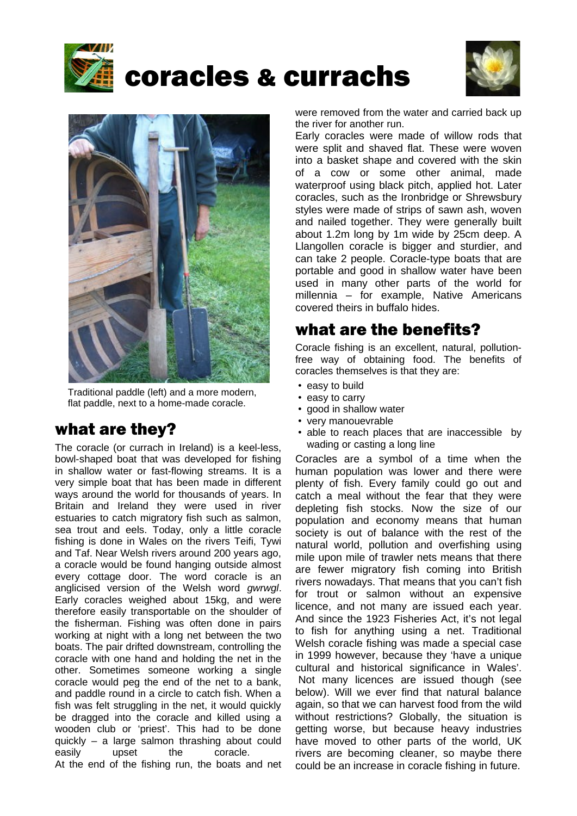

# coracles & currachs





Traditional paddle (left) and a more modern, flat paddle, next to a home-made coracle.

# what are they?

The coracle (or currach in Ireland) is a keel-less, bowl-shaped boat that was developed for fishing in shallow water or fast-flowing streams. It is a very simple boat that has been made in different ways around the world for thousands of years. In Britain and Ireland they were used in river estuaries to catch migratory fish such as salmon, sea trout and eels. Today, only a little coracle fishing is done in Wales on the rivers Teifi, Tywi and Taf. Near Welsh rivers around 200 years ago, a coracle would be found hanging outside almost every cottage door. The word coracle is an anglicised version of the Welsh word *gwrwgl*. Early coracles weighed about 15kg, and were therefore easily transportable on the shoulder of the fisherman. Fishing was often done in pairs working at night with a long net between the two boats. The pair drifted downstream, controlling the coracle with one hand and holding the net in the other. Sometimes someone working a single coracle would peg the end of the net to a bank, and paddle round in a circle to catch fish. When a fish was felt struggling in the net, it would quickly be dragged into the coracle and killed using a wooden club or 'priest'. This had to be done quickly – a large salmon thrashing about could easily upset the coracle.

At the end of the fishing run, the boats and net

were removed from the water and carried back up the river for another run.

Early coracles were made of willow rods that were split and shaved flat. These were woven into a basket shape and covered with the skin of a cow or some other animal, made waterproof using black pitch, applied hot. Later coracles, such as the Ironbridge or Shrewsbury styles were made of strips of sawn ash, woven and nailed together. They were generally built about 1.2m long by 1m wide by 25cm deep. A Llangollen coracle is bigger and sturdier, and can take 2 people. Coracle-type boats that are portable and good in shallow water have been used in many other parts of the world for millennia – for example, Native Americans covered theirs in buffalo hides.

## what are the benefits?

Coracle fishing is an excellent, natural, pollutionfree way of obtaining food. The benefits of coracles themselves is that they are:

- easy to build
- easy to carry
- good in shallow water
- very manouevrable
- able to reach places that are inaccessible by wading or casting a long line

Coracles are a symbol of a time when the human population was lower and there were plenty of fish. Every family could go out and catch a meal without the fear that they were depleting fish stocks. Now the size of our population and economy means that human society is out of balance with the rest of the natural world, pollution and overfishing using mile upon mile of trawler nets means that there are fewer migratory fish coming into British rivers nowadays. That means that you can't fish for trout or salmon without an expensive licence, and not many are issued each year. And since the 1923 Fisheries Act, it's not legal to fish for anything using a net. Traditional Welsh coracle fishing was made a special case in 1999 however, because they 'have a unique cultural and historical significance in Wales'. Not many licences are issued though (see below). Will we ever find that natural balance again, so that we can harvest food from the wild without restrictions? Globally, the situation is getting worse, but because heavy industries have moved to other parts of the world, UK rivers are becoming cleaner, so maybe there could be an increase in coracle fishing in future.